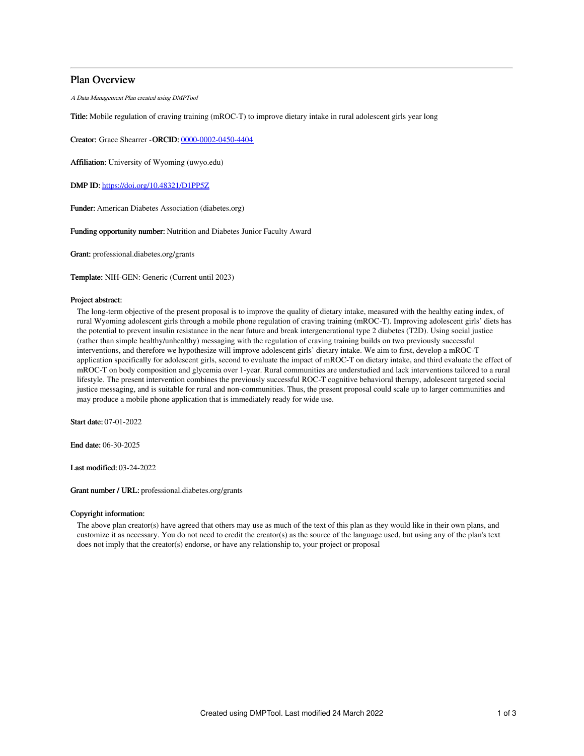## Plan Overview

A Data Management Plan created using DMPTool

Title: Mobile regulation of craving training (mROC-T) to improve dietary intake in rural adolescent girls year long

Creator: Grace Shearrer -ORCID: [0000-0002-0450-4404](https://orcid.org/0000-0002-0450-4404)

Affiliation: University of Wyoming (uwyo.edu)

DMP ID: <https://doi.org/10.48321/D1PP5Z>

Funder: American Diabetes Association (diabetes.org)

Funding opportunity number: Nutrition and Diabetes Junior Faculty Award

Grant: professional.diabetes.org/grants

Template: NIH-GEN: Generic (Current until 2023)

#### Project abstract:

The long-term objective of the present proposal is to improve the quality of dietary intake, measured with the healthy eating index, of rural Wyoming adolescent girls through a mobile phone regulation of craving training (mROC-T). Improving adolescent girls' diets has the potential to prevent insulin resistance in the near future and break intergenerational type 2 diabetes (T2D). Using social justice (rather than simple healthy/unhealthy) messaging with the regulation of craving training builds on two previously successful interventions, and therefore we hypothesize will improve adolescent girls' dietary intake. We aim to first, develop a mROC-T application specifically for adolescent girls, second to evaluate the impact of mROC-T on dietary intake, and third evaluate the effect of mROC-T on body composition and glycemia over 1-year. Rural communities are understudied and lack interventions tailored to a rural lifestyle. The present intervention combines the previously successful ROC-T cognitive behavioral therapy, adolescent targeted social justice messaging, and is suitable for rural and non-communities. Thus, the present proposal could scale up to larger communities and may produce a mobile phone application that is immediately ready for wide use.

Start date: 07-01-2022

End date: 06-30-2025

Last modified: 03-24-2022

Grant number / URL: professional.diabetes.org/grants

#### Copyright information:

The above plan creator(s) have agreed that others may use as much of the text of this plan as they would like in their own plans, and customize it as necessary. You do not need to credit the creator(s) as the source of the language used, but using any of the plan's text does not imply that the creator(s) endorse, or have any relationship to, your project or proposal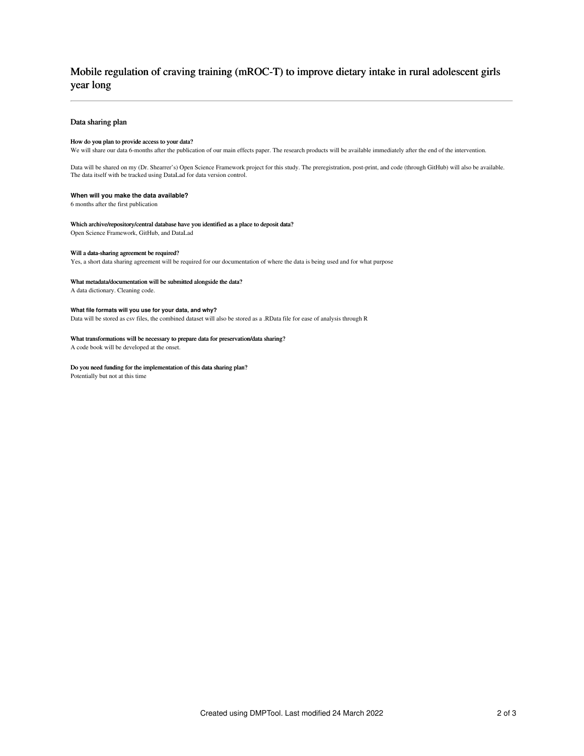# Mobile regulation of craving training (mROC-T) to improve dietary intake in rural adolescent girls year long

#### Data sharing plan

#### How do you plan to provide access to your data?

We will share our data 6-months after the publication of our main effects paper. The research products will be available immediately after the end of the intervention.

Data will be shared on my (Dr. Shearrer's) Open Science Framework project for this study. The preregistration, post-print, and code (through GitHub) will also be available. The data itself with be tracked using DataLad for data version control.

#### **When will you make the data available?**

6 months after the first publication

#### Which archive/repository/central database have you identified as a place to deposit data?

Open Science Framework, GitHub, and DataLad

#### Will a data-sharing agreement be required?

Yes, a short data sharing agreement will be required for our documentation of where the data is being used and for what purpose

#### What metadata/documentation will be submitted alongside the data?

A data dictionary. Cleaning code.

#### **What file formats will you use for your data, and why?**

Data will be stored as csv files, the combined dataset will also be stored as a .RData file for ease of analysis through R

#### What transformations will be necessary to prepare data for preservation/data sharing?

A code book will be developed at the onset.

#### Do you need funding for the implementation of this data sharing plan?

Potentially but not at this time